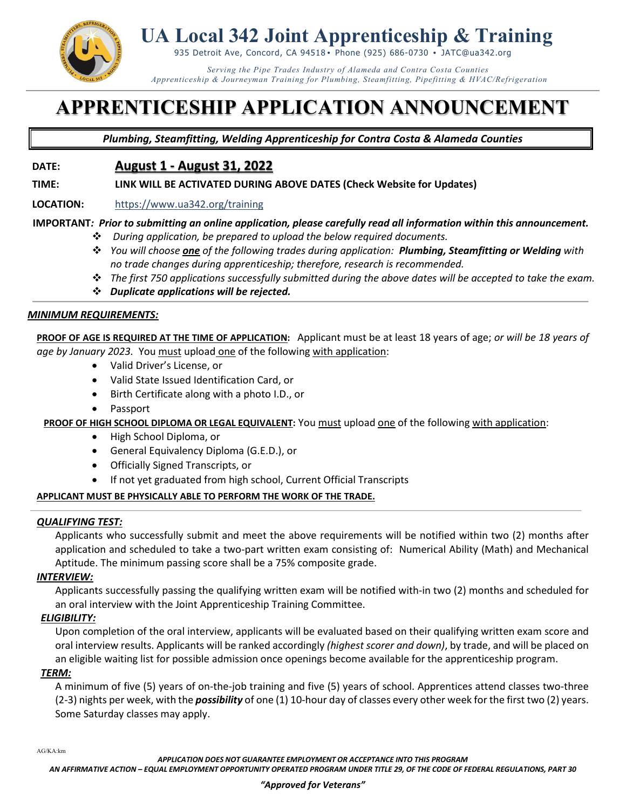

 **UA Local 342 Joint Apprenticeship & Training**

935 Detroit Ave, Concord, CA 94518• Phone (925) 686-0730 • JATC@ua342.org

 *Serving the Pipe Trades Industry of Alameda and Contra Costa Counties Apprenticeship & Journeyman Training for Plumbing, Steamfitting, Pipefitting & HVAC/Refrigeration*

## **APPRENTICESHIP APPLICATION ANNOUNCEMENT**

*Plumbing, Steamfitting, Welding Apprenticeship for Contra Costa & Alameda Counties*

### **DATE: August 1 - August 31, 2022**

**TIME: LINK WILL BE ACTIVATED DURING ABOVE DATES (Check Website for Updates)** 

**LOCATION:** <https://www.ua342.org/training>

#### **IMPORTANT***: Prior to submitting an online application, please carefully read all information within this announcement.*

- *During application, be prepared to upload the below required documents.*
- *You will choose one of the following trades during application: Plumbing, Steamfitting or Welding with no trade changes during apprenticeship; therefore, research is recommended.*
- *The first 750 applications successfully submitted during the above dates will be accepted to take the exam.*
- *Duplicate applications will be rejected.*

#### *MINIMUM REQUIREMENTS:*

**PROOF OF AGE IS REQUIRED AT THE TIME OF APPLICATION:** Applicant must be at least 18 years of age; *or will be 18 years of age by January 2023.* You must upload one of the following with application:

- Valid Driver's License, or
- Valid State Issued Identification Card, or
- Birth Certificate along with a photo I.D., or
- Passport

 **PROOF OF HIGH SCHOOL DIPLOMA OR LEGAL EQUIVALENT:** You must upload one of the following with application:

- High School Diploma, or
- General Equivalency Diploma (G.E.D.), or
- Officially Signed Transcripts, or
- If not yet graduated from high school, Current Official Transcripts

#### **APPLICANT MUST BE PHYSICALLY ABLE TO PERFORM THE WORK OF THE TRADE.**

#### *QUALIFYING TEST:*

Applicants who successfully submit and meet the above requirements will be notified within two (2) months after application and scheduled to take a two-part written exam consisting of: Numerical Ability (Math) and Mechanical Aptitude. The minimum passing score shall be a 75% composite grade.

#### *INTERVIEW:*

Applicants successfully passing the qualifying written exam will be notified with-in two (2) months and scheduled for an oral interview with the Joint Apprenticeship Training Committee.

#### *ELIGIBILITY:*

Upon completion of the oral interview, applicants will be evaluated based on their qualifying written exam score and oral interview results. Applicants will be ranked accordingly *(highest scorer and down)*, by trade, and will be placed on an eligible waiting list for possible admission once openings become available for the apprenticeship program.

#### *TERM:*

A minimum of five (5) years of on-the-job training and five (5) years of school. Apprentices attend classes two-three (2-3) nights per week, with the *possibility* of one (1) 10-hour day of classes every other week for the first two (2) years. Some Saturday classes may apply.

 $AG/KA\cdot km$ 

*APPLICATION DOES NOT GUARANTEE EMPLOYMENT OR ACCEPTANCE INTO THIS PROGRAM*